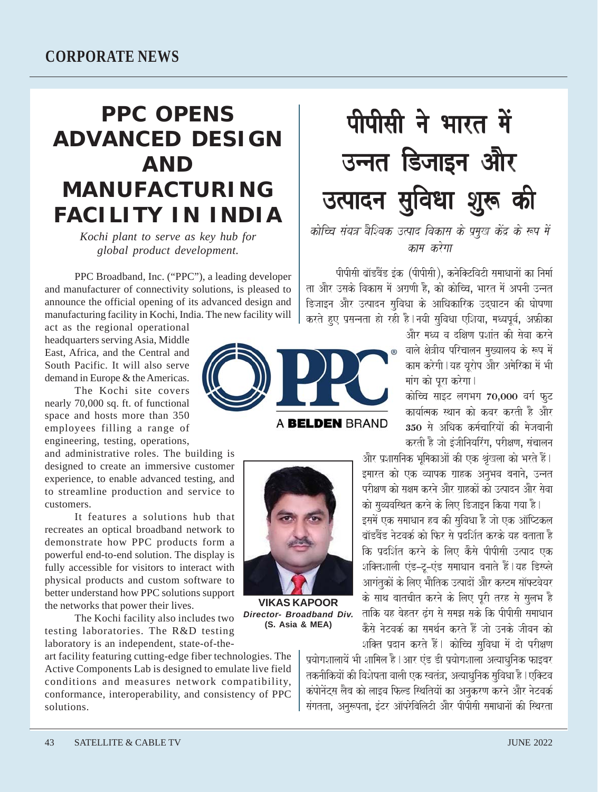## **PPC OPENS ADVANCED DESIGN AND MANUFACTURING FACILITY IN INDIA**

Kochi plant to serve as key hub for global product development.

PPC Broadband, Inc. ("PPC"), a leading developer and manufacturer of connectivity solutions, is pleased to announce the official opening of its advanced design and manufacturing facility in Kochi, India. The new facility will

act as the regional operational headquarters serving Asia, Middle East. Africa, and the Central and South Pacific It will also serve demand in Europe & the Americas.

The Kochi site covers nearly 70,000 sq. ft. of functional space and hosts more than 350 employees filling a range of engineering, testing, operations,

and administrative roles. The building is designed to create an immersive customer experience, to enable advanced testing, and to streamline production and service to customers.

It features a solutions hub that recreates an optical broadband network to demonstrate how PPC products form a powerful end-to-end solution. The display is fully accessible for visitors to interact with physical products and custom software to better understand how PPC solutions support the networks that power their lives.

The Kochi facility also includes two testing laboratories. The R&D testing laboratory is an independent, state-of-the-

art facility featuring cutting-edge fiber technologies. The Active Components Lab is designed to emulate live field conditions and measures network compatibility, conformance, interoperability, and consistency of PPC solutions.



A BELDEN BRAND



**VIKAS KAPOOR** Director- Broadband Div. (S. Asia & MEA)

पीपीसी ने भारत में उन्नत डिजाइन और उत्पादन सुविधा शुरू की

## कोच्चि संयत्र वैश्विक उत्पाद विकास के प्रमुख केंद्र के रूप में काम करेगा

पीपीसी ब्रॉडबैंड इंक (पीपीसी), कनेक्टिविटी समाधानों का निर्मा ता और उसके विकास में अग्रणी है, को कोच्चि, भारत में अपनी उन्नत डिजाडन और उत्पादन सविधा के आधिकारिक उदघाटन की घोषणा करते हुए प्रसन्नता हो रही है । नयी सुविधा एशिया, मध्यपूर्व, अफ़्रीका

<u>और मध्य व दक्षिण प्रशांत की सेवा करने</u> वाले क्षेत्रीय परिचालन मुख्यालय के रूप में काम करेगी । यह यूरोप और अमेरिका में भी मांग को पूरा करेगा।

कोच्चि साइट लगभग 70,000 वर्ग फट कार्यात्मक स्थान को कवर करती है और 350 से अधिक कर्मचारियों की मेजबानी करती है जो इंजीनियरिंग, परीक्षण, संचालन

और प्रशासनिक भूमिकाओं की एक श्रृंखला को भरते हैं। इमारत को एक व्यापक ग्राहक अनुभव बनाने, उन्नत परीक्षण को सक्षम करने और गाहकों को उत्पादन और सेवा को सव्यवस्थित करने के लिए डिजाइन किया गया है।

इसमें एक समाधान हब की सुविधा है जो एक ऑप्टिकल ब्रॉडबैंड नेटवर्क को फिर से प्रदर्शित करके यह बताता है कि प्रदर्शित करने के लिए कैसे पीपीसी उत्पाद एक शक्तिशाली एंड-टू-एंड समाधान बनाते हैं।यह डिस्प्ले आगंतकों के लिए भौतिक उत्पादों और कस्टम सॉफ्टवेयर के साथ बातचीत करने के लिए पूरी तरह से सुलभ है ताकि यह बेहतर ढंग से समझ सके कि पीपीसी समाधान .<br>कैसे नेटवर्क का समर्थन करते हैं जो उनके जीवन को शक्ति प्रदान करते हैं। कोच्चि सविधा में दो परीक्षण

प्रयोगशालायें भी शामिल है । आर एंड डी प्रयोगशाला अत्याधुनिक फाइबर तकनीकियों की विशेषता वाली एक स्वतंत्र, अत्याधनिक सविधा है। एक्टिव कंपोनेंट्स लैब को लाइव फिल्ड स्थितियों का अनुकरण करने और नेटवर्क संगतता, अनुरूपता, इंटर ऑपरेबिलिटी और पीपीसी समाधानों की स्थिरता